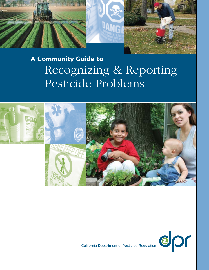

# A Community Guide to Recognizing & Reporting Pesticide Problems





California Department of Pesticide Regulation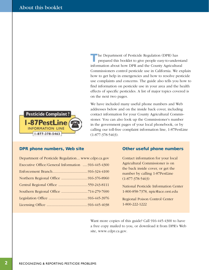

<span id="page-1-0"></span>The Department of Pesticide Regulation (DPR) has prepared this booklet to give people easy-to-understand information about how DPR and the County Agricultural Commissioners control pesticide use in California. We explain how to get help in emergencies and how to resolve pesticide use complaints and concerns. The guide also tells you how to fnd information on pesticide use in your area and the health effects of specifc pesticides. A list of major topics covered is on the next two pages.

We have included many useful phone numbers and Web addresses below and on the inside back cover, including contact information for your County Agricultural Commissioner. You can also look up the Commissioner's number in the government pages of your local phonebook, or by calling our toll-free complaint information line, 1-87PestLine (1-877-378-5463).

### DPR phone numbers, Web site

| Department of Pesticide Regulation www.cdpr.ca.gov |  |
|----------------------------------------------------|--|
| Executive Office/General Information 916-445-4300  |  |
|                                                    |  |
|                                                    |  |
| Central Regional Office 559-243-8111               |  |
|                                                    |  |
|                                                    |  |
|                                                    |  |

# Other useful phone numbers

Contact information for your local Agricultural Commissioner is on the back inside cover, or get the number by calling 1-87PestLine (1-877-378-5463)

National Pesticide Information Center 1-800-858-7378, [npic@ace.orst.edu](mailto:npic@ace.orst.edu) 

Regional Poison Control Center 1-800-222-1222

Want more copies of this guide? Call 916-445-4300 to have a free copy mailed to you, or download it from DPR's Web site, [www.cdpr.ca.gov.](http://www.cdpr.ca.gov)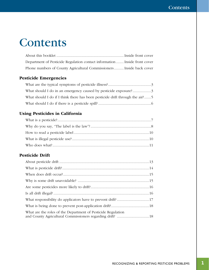# Contents

| Department of Pesticide Regulation contact information  Inside front cover |  |  |
|----------------------------------------------------------------------------|--|--|
| Phone numbers of County Agricultural Commissioners Inside back cover       |  |  |

# [Pesticide Emergencies](#page-4-0)

| What should I do in an emergency caused by pesticide exposure?3              |  |
|------------------------------------------------------------------------------|--|
| What should I do if I think there has been pesticide drift through the air?5 |  |
|                                                                              |  |

# [Using Pesticides in California](#page-8-0)

# [Pesticide Drift](#page-14-0)

| What are the roles of the Department of Pesticide Regulation |  |
|--------------------------------------------------------------|--|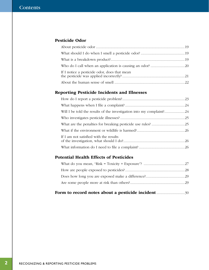# [Pesticide Odor](#page-20-0)

| If I notice a pesticide odor, does that mean |  |
|----------------------------------------------|--|
|                                              |  |

# [Reporting Pesticide Incidents and Illnesses](#page-24-0)

| If I am not satisfied with the results |  |
|----------------------------------------|--|
|                                        |  |

# [Potential Health Effects of Pesticides](#page-28-0)

|--|--|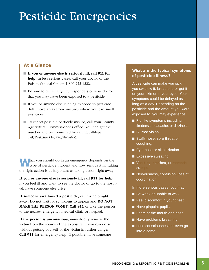# <span id="page-4-0"></span>Pesticide Emergencies

# At a Glance

- $\blacksquare$  If you or anyone else is seriously ill, call 911 for help. In less serious cases, call your doctor or the Poison Control Center, 1-800-222-1222.
- Be sure to tell emergency responders or your doctor that you may have been exposed to a pesticide.
- $\blacksquare$  If you or anyone else is being exposed to pesticide drift, move away from any area where you can smell pesticides.
- $\blacksquare$  To report possible pesticide misuse, call your County Agricultural Commissioner's office. You can get the number and be connected by calling toll-free, 1-87PestLine (1-877-378-5463).

What you should do in an emergency depends on the type of pesticide incident and how serious it is. Taking the right action is as important as taking action right away.

If you or anyone else is seriously ill, call 911 for help. If you feel ill and want to see the doctor or go to the hospital, have someone else drive.

If someone swallowed a pesticide, call for help right away. Do not wait for symptoms to appear and DO NOT MAKE THE PERSON VOMIT. Call 911 or take the person to the nearest emergency medical clinic or hospital.

If the person is unconscious, immediately remove the victim from the source of the exposure, if you can do so without putting yourself or the victim in further danger. Call 911 for emergency help. If possible, have someone

# What are the typical symptoms of pesticide illness?

A pesticide can make you sick if you swallow it, breathe it, or get it on your skin or in your eyes. Your symptoms could be delayed as long as a day. Depending on the pesticide and the amount you were exposed to, you may experience:

- **Flu-like symptoms including** tiredness, headache, or dizziness.
- **N** Blurred vision.

*Sidebar:* 

- Stuffy nose, sore throat or coughing.
- Eye, nose or skin irritation.
- Excessive sweating.
- Vomiting, diarrhea, or stomach cramps.
- Nervousness, confusion, loss of coordination.

In more serious cases, you may:

- Be weak or unable to walk.
- Feel discomfort in your chest.
- $\blacksquare$  Have pinpoint pupils.
- **Foam at the mouth and nose.**
- $\blacksquare$  Have problems breathing.
- **Lose consciousness or even go** into a coma.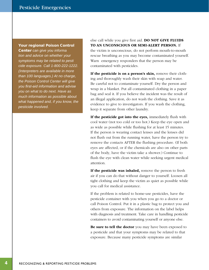#### Your regional Poison Control

Center can give you informa *tion and advice on whether your symptoms may be related to pesti cide exposure. Call 1-800-222-1222. (Interpreters are available in more than 100 languages.) At no charge, the Poison Control Center will give you first-aid information and advise you on what to do next. Have as much information as possible about what happened and, if you know, the pesticide involved.* 

else call while you give frst aid. DO NOT GIVE FLUIDS TO AN UNCONSCIOUS OR SEMI-ALERT PERSON. If the victim is unconscious, do not perform mouth-to-mouth rescue breathing as you may become contaminated yourself. Warn emergency responders that the person may be

contaminated with pesticides.

If the pesticide is on a person's skin, remove their clothing and thoroughly wash their skin with soap and water. Be careful not to contaminate yourself. Dry the person and wrap in a blanket. Put all contaminated clothing in a paper bag and seal it. If you believe the incident was the result of an illegal application, do not wash the clothing. Save it as evidence to give to investigators. If you wash the clothing, keep it separate from other laundry.

If the pesticide got into the eyes, immediately flush with cool water (not too cold or too hot.) Keep the eye open and as wide as possible while fushing for at least 15 minutes. If the person is wearing contact lenses and the lenses did not fush out from the running water, have the person try to remove the contacts AFTER the fushing procedure. (If both eyes are affected, or if the chemicals are also on other parts of the body, have the victim take a shower.) Continue to fush the eye with clean water while seeking urgent medical attention.

If the pesticide was inhaled, remove the person to fresh air if you can do that without danger to yourself. Loosen all tight clothing and keep the victim as quiet as possible while you call for medical assistance.

If the problem is related to home-use pesticides, have the pesticide container with you when you go to a doctor or call Poison Control. Put it in a plastic bag to protect you and others from exposure. The information on the label helps with diagnosis and treatment. Take care in handling pesticide containers to avoid contaminating yourself or anyone else.

Be sure to tell the doctor you may have been exposed to a pesticide and that your symptoms may be related to that exposure. Because many pesticide symptoms are similar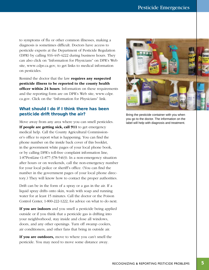<span id="page-6-0"></span>to symptoms of fu or other common illnesses, making a diagnosis is sometimes diffcult. Doctors have access to pesticide experts at the Department of Pesticide Regulation (DPR) by calling 916-445-4222 during business hours. They can also click on "Information for Physicians" on DPR's Web site, [www.cdpr.ca.gov, to](http://www.cdpr.ca.gov) get links to medical information on pesticides.

Remind the doctor that the law requires any suspected pesticide illness to be reported to the county health officer within 24 hours. Information on these requirements and the reporting form are on DPR's Web site, [www.cdpr.](http://www.cdpr)  ca.gov. Click on the "Information for Physicians" link.

# What should I do if I think there has been pesticide drift through the air?

Move away from any area where you can smell pesticides. If people are getting sick, call 911 to get emergency medical help. Call the County Agricultural Commissioner's offce to report what is happening. You can fnd the phone number on the inside back cover of this booklet, in the government white pages of your local phone book, or by calling DPR's toll-free complaint information line, 1-87PestLine (1-877-378-5463). In a non-emergency situation after hours or on weekends, call the non-emergency number for your local police or sheriff's office. (You can find the number in the government pages of your local phone directory.) They will know how to contact the proper authorities.

Drift can be in the form of a spray or a gas in the air. If a liquid spray drifts onto skin, wash with soap and running water for at least 15 minutes. Call the doctor or the Poison Control Center, 1-800-222-1222, for advice on what to do next.

If you are indoors and you smell a pesticide being applied outside or if you think that a pesticide gas is drifting into your neighborhood, stay inside and close all windows, doors, and any other openings. Turn off swamp coolers, air conditioners, and other fans that bring in outside air.

If you are outdoors, move to where you can't smell the pesticide. You may need to move some distance away.



Bring the pesticide container with you when you go to the doctor. The information on the label will help with diagnosis and treatment.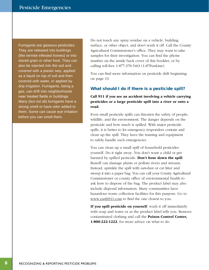<span id="page-7-0"></span>*Sidebar:* 

Fumigants are gaseous pesticides. They are released into buildings (like termite-infested homes) or into stored grain or other food. They can also be injected into the soil and covered with a plastic tarp, applied as a liquid on top of soil and then covered with water, or applied by drip irrigation. Fumigants, being a gas, can drift into neighborhoods near treated fields or buildings. Many (but not all) fumigants have a strong smell or have odor added to them. Some can cause eye irritation before you can smell them.

Do not touch any spray residue on a vehicle, building surface, or other object, and don't wash it off. Call the County Agricultural Commissioner's office. They may want to take samples for their investigation. You can find the phone number on the inside back cover of this booklet, or by calling toll-free 1-877-378-5463 (1-87PestLine).

You can fnd more information on pesticide drift beginning on page 13.

## What should I do if there is a pesticide spill?

# Call 911 if you see an accident involving a vehicle carrying pesticides or a large pesticide spill into a river or onto a road.

Even small pesticide spills can threaten the safety of people, wildlife, and the environment. The danger depends on the pesticide and how much is spilled. With major pesticide spills, it is better to let emergency responders contain and clean up the spill. They have the training and equipment to safely handle such emergencies.

You can clean up a small spill of household pesticides yourself. Do it right away. You don't want a child or pet harmed by spilled pesticide. Don't hose down the spill. Runoff can damage plants or pollute rivers and streams. Instead, sprinkle the spill with sawdust or cat litter and sweep it into a paper bag. You can call your County Agricultural Commissioner or county office of environmental health to ask how to dispose of the bag. The product label may also include disposal information. Many communities have hazardous waste collection facilities for this purpose. Go to www.earth911.com to fnd the one closest to you.

If you spill pesticide on yourself, wash it off immediately with soap and water or as the product label tells you. Remove contaminated clothing and call the Poison Control Center, 1-800-222-1222, for more advice on what to do.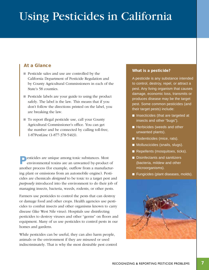# <span id="page-8-0"></span>Using Pesticides in California

# At a Glance

- n Pesticide sales and use are controlled by the California Department of Pesticide Regulation and by County Agricultural Commissioners in each of the State's 58 counties.
- $\blacksquare$  Pesticide labels are your guide to using the product safely. The label is the law. This means that if you don't follow the directions printed on the label, you are breaking the law.
- To report illegal pesticide use, call your County Agricultural Commissioner's office. You can get the number and be connected by calling toll-free, 1-87PestLine (1-877-378-5463).

Pesticides are unique among toxic substances. Most environmental toxins are an unwanted by-product of another process (for example, outfow from a manufacturing plant or emissions from an automobile engine). Pesticides are chemicals *designed* to be toxic to a target pest and *purposely* introduced into the environment to do their job of managing insects, bacteria, weeds, rodents, or other pests.

Farmers use pesticides to control the pests that can destroy or damage food and other crops. Health agencies use pesticides to combat insects and other organisms known to carry disease (like West Nile virus). Hospitals use disinfecting pesticides to destroy viruses and other "germs" on foors and equipment. Many of us use pesticides to control pests in our homes and gardens.

While pesticides can be useful, they can also harm people, animals or the environment if they are misused or used indiscriminately. That is why the most desirable pest control

### What is a pesticide?

*Sidebar:* 

A pesticide is any substance intended to control, destroy, repel, or attract a pest. Any living organism that causes damage, economic loss, transmits or produces disease may be the target pest. Some common pesticides (and their target pests) include:

- $\blacksquare$  Insecticides (that are targeted at insects and other "bugs").
- $\blacksquare$  Herbicides (weeds and other unwanted plants).
- Rodenticides (mice, rats).
- **Nolluscicides (snails, slugs).**
- $\blacksquare$  Repellents (mosquitoes, ticks).
- Disinfectants and sanitizers (bacteria, mildew and other microorganisms).
- Fungicides (plant diseases, molds).

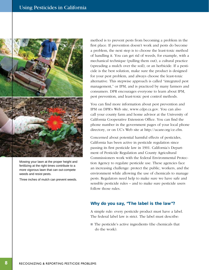<span id="page-9-0"></span>

Mowing your lawn at the proper height and fertilizing at the right times contribute to a more vigorous lawn that can out-compete weeds and resist pests.

Three inches of mulch can prevent weeds.

method is to prevent pests from becoming a problem in the frst place. If prevention doesn't work and pests do become a problem, the next step is to choose the least-toxic method of handling it. You can get rid of weeds, for example, with a mechanical technique (pulling them out), a cultural practice (spreading a mulch over the soil), or an herbicide. If a pesticide is the best solution, make sure the product is designed for your pest problem, and always choose the least-toxic alternative. This stepwise approach is called "integrated pest management," or IPM, and is practiced by many farmers and consumers. DPR encourages everyone to learn about IPM, pest prevention, and least-toxic pest control methods.

You can fnd more information about pest prevention and IPM on DPR's Web site, [www.cdpr.ca.gov. Yo](http://www.cdpr.ca.gov)u can also call your county farm and home advisor at the University of California Cooperative Extension Office. You can find the phone number in the government pages of your local phone directory, or on UC's Web site at [http://ucanr.org/ce.cfm.](http://ucanr.org/ce.cfm) 

Concerned about potential harmful effects of pesticides, California has been active in pesticide regulation since passing its frst pesticide law in 1901. California's Department of Pesticide Regulation and County Agricultural Commissioners work with the federal Environmental Protection Agency to regulate pesticide use. These agencies face an increasing challenge: protect the public, workers, and the environment while allowing the use of chemicals to manage pests. Regulators need help to make sure we have safe and sensible pesticide rules – and to make sure pesticide users follow those rules.

### Why do you say, "The label is the law"?

A simple rule: every pesticide product must have a label. The federal label law is strict. The label must describe:

 $\blacksquare$  The pesticide's active ingredients (the chemicals that do the work).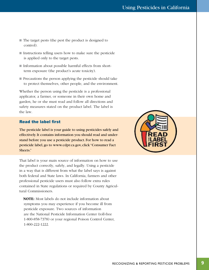- <span id="page-10-0"></span> $\blacksquare$  The target pests (the pest the product is designed to control).
- $\blacksquare$  Instructions telling users how to make sure the pesticide is applied only to the target pests.
- Information about possible harmful effects from shortterm exposure (the product's acute toxicity).
- Precautions the person applying the pesticide should take to protect themselves, other people, and the environment.

Whether the person using the pesticide is a professional applicator, a farmer, or someone in their own home and garden, he or she must read and follow all directions and safety measures stated on the product label. The label is the law.

## Read the label first

The pesticide label is your guide to using pesticides safely and effectively. It contains information you should read and understand before you use a pesticide product. For how to read a pesticide label, go to www.cdpr.ca.gov, click "Consumer Fact Sheets."

That label is your main source of information on how to use the product correctly, safely, and legally. Using a pesticide in a way that is different from what the label says is against both federal and State laws. In California, farmers and other professional pesticide users must also follow extra rules contained in State regulations or required by County Agricultural Commissioners.

NOTE: Most labels do not include information about symptoms you may experience if you become ill from pesticide exposure. Two sources of information are the National Pesticide Information Center (toll-free 1-800-858-7378) or your regional Poison Control Center, 1-800-222-1222.

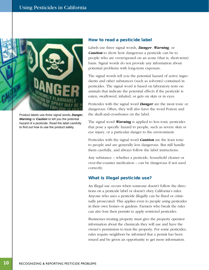

Product labels use three signal words, *Danger*, *Warning* or *Caution* to tell you the potential hazard of a pesticide. Read the label carefully to find out how to use the product safely.

### How to read a pesticide label

Labels use three signal words, *Danger*, *Warning*, or *Caution* to show how dangerous a pesticide can be to people who are overexposed on an acute (that is, short-term) basis. Signal words do not provide any information about potential problems with long-term exposure.

The signal words tell you the potential hazard of active ingredients and other substances (such as solvents) contained in pesticides. The signal word is based on laboratory tests on animals that indicate the potential effects if the pesticide is eaten, swallowed, inhaled, or gets on skin or in eyes.

Pesticides with the signal word *Danger* are the most toxic or dangerous. Often, they will also have the word Poison and the skull-and-crossbones on the label.

The signal word *Warning* is applied to less toxic pesticides that pose a specifc hazard to people, such as severe skin or eye injury, or a particular danger to the environment.

Pesticides with the signal word *Caution* are the least toxic to people and are generally less dangerous. But still handle them carefully, and always follow the label instructions.

Any substance – whether a pesticide, household cleaner or over-the-counter medication – can be dangerous if not used correctly.

# What is illegal pesticide use?

An illegal use occurs when someone doesn't follow the directions on a pesticide label or doesn't obey California's rules. Anyone who uses a pesticide illegally can be fned or criminally prosecuted. This applies even to people using pesticides in their own homes or gardens. Farmers who break the rules can also lose their permits to apply restricted pesticides.

Businesses treating property must give the property operator information about the chemicals they will use and have the owner's permission to treat the property. For some pesticides, rules require neighbors be informed that a permit has been issued and be given an opportunity to get more information.

10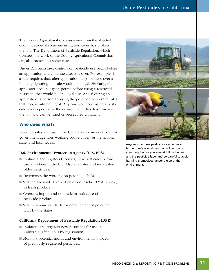<span id="page-12-0"></span>The County Agricultural Commissioner from the affected county decides if someone using pesticides has broken the law. The Department of Pesticide Regulation, which oversees the work of the County Agricultural Commissioners, also prosecutes some cases.

Under California law, controls on pesticide use begin before an application and continue after it is over. For example, if a rule requires that, after application, tarps be kept over a building, ignoring the rule would be illegal. Similarly, if an applicator does not get a permit before using a restricted pesticide, that would be an illegal use. And if during an application, a person applying the pesticide breaks the rules that, too, would be illegal. Any time someone using a pesticide injures people or the environment, they have broken the law and can be fned or prosecuted criminally.

# Who does what?

Pesticide sales and use in the United States are controlled by government agencies working cooperatively at the national, state, and local levels.

### U.S. Environmental Protection Agency (U.S. EPA)

- Evaluates and registers (licenses) new pesticides before use anywhere in the U.S. Also evaluates and re-registers older pesticides.
- Determines the wording on pesticide labels.
- Sets the allowable levels of pesticide residue ("tolerances") in fresh produce.
- n Oversees import and domestic manufacture of pesticide products.
- $\blacksquare$  Sets minimum standards for enforcement of pesticide laws by the states.

#### California Department of Pesticide Regulation (DPR)

- Evaluates and registers new pesticides for use in California (after U.S. EPA registration).
- $\blacksquare$  Monitors potential health and environmental impacts of previously registered pesticides.



Anyone who uses pesticides – whether a farmer, professional pest control company, your neighbor, or you – must follow the law and the pesticide label and be careful to avoid harming themselves, anyone else or the environment.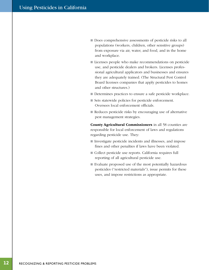- Does comprehensive assessments of pesticide risks to all populations (workers, children, other sensitive groups) from exposure via air, water, and food, and in the home and workplace.
- Licenses people who make recommendations on pesticide use, and pesticide dealers and brokers. Licenses professional agricultural applicators and businesses and ensures they are adequately trained. (The Structural Pest Control Board licenses companies that apply pesticides to homes and other structures.)
- Determines practices to ensure a safe pesticide workplace.
- $\blacksquare$  Sets statewide policies for pesticide enforcement. Oversees local enforcement officials.
- $\blacksquare$  Reduces pesticide risks by encouraging use of alternative pest management strategies.

County Agricultural Commissioners in all 58 counties are responsible for local enforcement of laws and regulations regarding pesticide use. They:

- Investigate pesticide incidents and illnesses, and impose fnes and other penalties if laws have been violated.
- Collect pesticide use reports. California requires full reporting of all agricultural pesticide use.
- $\blacksquare$  Evaluate proposed use of the most potentially hazardous pesticides ("restricted materials"), issue permits for these uses, and impose restrictions as appropriate.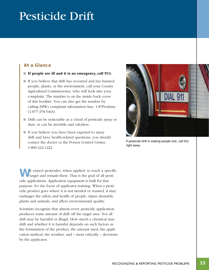# <span id="page-14-0"></span>Pesticide Drift

# At a Glance

- $\blacksquare$  If people are ill and it is an emergency, call 911.
- $\blacksquare$  If you believe that drift has occurred and has harmed people, plants, or the environment, call your County Agricultural Commissioner, who will look into your complaint. The number is on the inside back cover of this booklet. You can also get the number by calling DPR's complaint information line, 1-87PestLine (1-877-378-5463).
- Drift can be noticeable as a cloud of pesticide spray or dust, or can be invisible and odorless.
- $\blacksquare$  If you believe you have been exposed to spray drift and have health-related questions, you should contact the doctor or the Poison Control Center, 1-800-222-1222.

 $\blacksquare$  e expect pesticides, when applied, to reach a specific target and remain there. That is the goal of all pesticide applications. Application equipment is built for that purpose. It's the focus of applicator training. When a pesticide product goes where it is not needed or wanted, it may endanger the safety and health of people, injure desirable plants and animals, and affect environmental quality.

Scientists recognize that almost every pesticide application produces some amount of drift off the target area. Not all drift may be harmful or illegal. How much a chemical may drift and whether it is harmful depends on such factors as the formulation of the product, the amount used, the application method, the weather, and – most critically – decisions by the applicator.



If pesticide drift is making people sick, call 911 right away.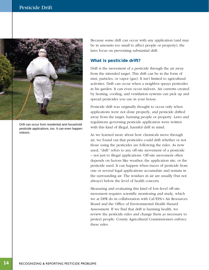<span id="page-15-0"></span>

Drift can occur from residential and household pesticide applications, too. It can even happen indoors.

Because some drift can occur with any application (and may be in amounts too small to affect people or property), the laws focus on preventing substantial drift.

### What is pesticide drift?

Drift is the movement of a pesticide through the air away from the intended target. This drift can be in the form of mist, particles, or vapor (gas). It isn't limited to agricultural activities. Drift can occur when a neighbor sprays pesticides in his garden. It can even occur indoors. Air currents created by heating, cooling, and ventilation systems can pick up and spread pesticides you use in your house.

Pesticide drift was originally thought to occur only when applications were not done properly, and pesticide drifted away from the target, harming people or property. Laws and regulations governing pesticide application were written with this kind of illegal, harmful drift in mind.

As we learned more about how chemicals move through air, we found out that pesticides could drift whether or not those using the pesticides are following the rules. As now used, "drift" refers to any off-site movement of a pesticide – not just to illegal applications. Off-site movement often depends on factors like weather, the application site, or the pesticide used. It can happen when traces of pesticide from one or several legal applications accumulate and remain in the surrounding air. The residues in air are usually (but not always) below the level of health concern.

Measuring and evaluating this kind of low-level off-site movement requires scientifc monitoring and study, which we at DPR do in collaboration with Cal/EPA's Air Resources Board and the Offce of Environmental Health Hazard Assessment. If we fnd that drift is harming health, we review the pesticide rules and change them as necessary to protect people. County Agricultural Commissioners enforce these rules.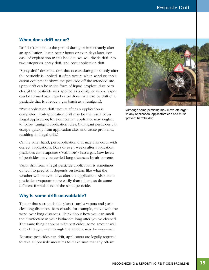## <span id="page-16-0"></span>When does drift occur?

Drift isn't limited to the period during or immediately after an application. It can occur hours or even days later. For ease of explanation in this booklet, we will divide drift into two categories: spray drift, and post-application drift.

"Spray drift" describes drift that occurs during or shortly after the pesticide is applied. It often occurs when wind or application equipment blows the pesticide off the intended site. Spray drift can be in the form of liquid droplets, dust particles (if the pesticide was applied as a dust), or vapor. Vapor can be formed as a liquid or oil dries, or it can be drift of a pesticide that is already a gas (such as a fumigant).

"Post-application drift" occurs after an application is completed. Post-application drift may be the result of an illegal application; for example, an applicator may neglect to follow fumigant application rules. (Fumigant pesticides can escape quickly from application sites and cause problems, resulting in illegal drift.)

On the other hand, post-application drift may also occur with correct applications. Days or even weeks after application, pesticides can evaporate ("volatilize") into a gas. Low levels of pesticides may be carried long distances by air currents.

Vapor drift from a legal pesticide application is sometimes diffcult to predict. It depends on factors like what the weather will be even days after the application. Also, some pesticides evaporate more easily than others, as do some different formulations of the same pesticide.

### Why is some drift unavoidable?

The air that surrounds this planet carries vapors and particles long distances. Rain clouds, for example, move with the wind over long distances. Think about how you can smell the disinfectant in your bathroom long after you've cleaned. The same thing happens with pesticides; some amount will drift off target, even though the amount may be very small.

Because pesticides can drift, applicators are legally required to take all possible measures to make sure that any off-site



Although some pesticide may move off target in any application, applicators can and must prevent harmful drift.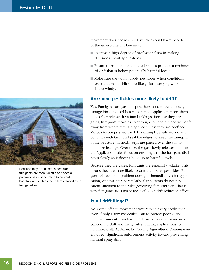<span id="page-17-0"></span>

Because they are gaseous pesticides, fumigants are more volatile and special precautions must be taken to prevent harmful drift, such as these tarps placed over fumigated soil.

movement does not reach a level that could harm people or the environment. They must:

- $\blacksquare$  Exercise a high degree of professionalism in making decisions about applications.
- Ensure their equipment and techniques produce a minimum of drift that is below potentially harmful levels.
- $\blacksquare$  Make sure they don't apply pesticides when conditions exist that make drift more likely, for example, when it is too windy.

### Are some pesticides more likely to drift?

Yes. Fumigants are gaseous pesticides used to treat homes, storage bins, and soil before planting. Applicators inject them into soil or release them into buildings. Because they are gases, fumigants move easily through soil and air, and will drift away from where they are applied unless they are confned. Various techniques are used. For example, applicators cover buildings with tarps and seal the edges, to keep the fumigant in the structure. In felds, tarps are placed over the soil to minimize leakage. Over time, the gas slowly releases into the air. Application rules focus on ensuring that the fumigant dissipates slowly so it doesn't build up to harmful levels.

Because they are gases, fumigants are especially volatile. This means they are more likely to drift than other pesticides. Fumigant drift can be a problem during or immediately after application, or days later, particularly if applicators do not pay careful attention to the rules governing fumigant use. That is why fumigants are a major focus of DPR's drift reduction efforts.

## Is all drift illegal?

No. Some off-site movement occurs with every application, even if only a few molecules. But to protect people and the environment from harm, California has strict standards concerning drift and many rules limiting applications to minimize drift. Additionally, County Agricultural Commissioners direct signifcant enforcement activity toward preventing harmful spray drift.

16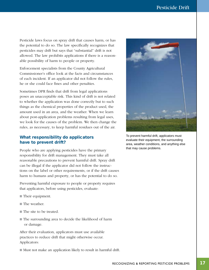<span id="page-18-0"></span>Pesticide laws focus on spray drift that causes harm, or has the potential to do so. The law specifcally recognizes that pesticides may drift but says that "substantial" drift is not allowed. The law prohibits applications if there is a reasonable possibility of harm to people or property.

Enforcement specialists from the County Agricultural Commissioner's office look at the facts and circumstances of each incident. If an applicator did not follow the rules, he or she could face fnes and other penalties.

Sometimes DPR fnds that drift from legal applications poses an unacceptable risk. This kind of drift is not related to whether the application was done correctly but to such things as the chemical properties of the product used, the amount used in an area, and the weather. When we learn about post-application problems resulting from legal uses, we look for the causes of the problem. We then change the rules, as necessary, to keep harmful residues out of the air.

# What responsibility do applicators have to prevent drift?

People who are applying pesticides have the primary responsibility for drift management. They must take all reasonable precautions to prevent harmful drift. Spray drift can be illegal if the applicator did not follow the instructions on the label or other requirements, or if the drift causes harm to humans and property, or has the potential to do so.

Preventing harmful exposure to people or property requires that applicators, before using pesticides, evaluate:

- Their equipment.
- The weather.
- $\blacksquare$  The site to be treated.
- The surrounding area to decide the likelihood of harm or damage.

After their evaluation, applicators must use available practices to reduce drift that might otherwise occur. Applicators:





To prevent harmful drift, applicators must evaluate their equipment, the surrounding area, weather conditions, and anything else that may cause problems.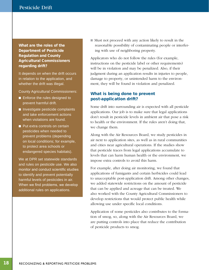<span id="page-19-0"></span>What are the roles of the Department of Pesticide Regulation and County Agricultural Commissioners regarding drift?

It depends on when the drift occurs in relation to the application, and whether the drift was illegal.

County Agricultural Commissioners:

- Enforce the rules designed to prevent harmful drift.
- $\blacksquare$  Investigate pesticide complaints and take enforcement actions when violations are found.
- $\blacksquare$  Put extra controls on certain pesticides when needed to prevent problems (depending on local conditions; for example, to protect area schools or endangered species habitats).

We at DPR set statewide standards and rules on pesticide use. We also monitor and conduct scientific studies to identify and prevent potentially harmful levels of pesticides in air. When we find problems, we develop additional rules on applications.

 $\blacksquare$  Must not proceed with any action likely to result in the reasonable possibility of contaminating people or interfering with use of neighboring property.

Applicators who do not follow the rules (for example, instructions on the pesticide label or other requirements) will be in violation and may be penalized. Also, if their judgment during an application results in injuries to people, damage to property, or unintended harm to the environment, they will be found in violation and penalized.

# What is being done to prevent post-application drift?

Some drift into surrounding air is expected with all pesticide applications. Our job is to make sure that legal applications don't result in pesticide levels in ambient air that pose a risk to health or the environment. If the rules aren't doing that, we change them.

Along with the Air Resources Board, we study pesticides in air next to application sites, as well as in rural communities and cities near agricultural operations. If the studies show that pesticide traces from legal applications accumulate to levels that can harm human health or the environment, we impose extra controls to avoid this harm.

For example, after doing air monitoring, we found that applications of fumigants and certain herbicides could lead to unacceptable post-application drift. Among other changes, we added statewide restrictions on the amount of pesticide that can be applied and acreage that can be treated. We also worked with the County Agricultural Commissioners to develop restrictions that would protect public health while allowing use under specifc local conditions.

Application of some pesticides also contributes to the formation of smog, so, along with the Air Resources Board, we are putting controls into place that reduce the contribution of pesticide products to smog.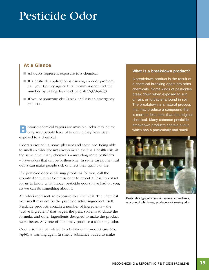# <span id="page-20-0"></span>Pesticide Odor

# At a Glance

- All odors represent exposure to a chemical.
- $\blacksquare$  If a pesticide application is causing an odor problem, call your County Agricultural Commissioner. Get the number by calling 1-87PestLine (1-877-378-5463).
- $\blacksquare$  If you or someone else is sick and it is an emergency, call 911.

**Because chemical vapors are invisible, odor may be the Donly way people have of knowing they have been** exposed to a chemical.

Odors surround us, some pleasant and some not. Being able to smell an odor doesn't always mean there is a health risk. At the same time, many chemicals – including some pesticides – have odors that can be bothersome. In some cases, chemical odors can make people sick or affect their quality of life.

If a pesticide odor is causing problems for you, call the County Agricultural Commissioner to report it. It is important for us to know what impact pesticide odors have had on you, so we can do something about it.

All odors represent an exposure to a chemical. The chemical you smell may not be the pesticide active ingredient itself. Pesticide products contain a number of ingredients – the "active ingredient" that targets the pest, solvents to dilute the formula, and other ingredients designed to make the product work better. Any one of them may produce a sickening odor.

Odor also may be related to a breakdown product (*see box, right*), a warning agent (a smelly substance added to make

### What is a breakdown product?

A breakdown product is the result of a chemical breaking apart into other chemicals. Some kinds of pesticides break down when exposed to sun or rain, or to bacteria found in soil. The breakdown is a natural process that may produce a compound that is more or less toxic than the original chemical. Many common pesticide breakdown products contain sulfur, which has a particularly bad smell.



Pesticides typically contain several ingredients, any one of which may produce a sickening odor.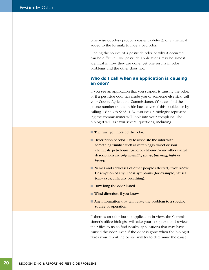<span id="page-21-0"></span>otherwise odorless products easier to detect), or a chemical added to the formula to hide a bad odor.

Finding the source of a pesticide odor or why it occurred can be diffcult. Two pesticide applications may be almost identical in how they are done, yet one results in odor problems and the other does not.

# Who do I call when an application is causing an odor?

If you see an application that you suspect is causing the odor, or if a pesticide odor has made you or someone else sick, call your County Agricultural Commissioner. (You can fnd the phone number on the inside back cover of this booklet, or by calling 1-877-378-5463, 1-87PestLine.) A biologist representing the commissioner will look into your complaint. The biologist will ask you several questions, including:

- The time you noticed the odor.
- $\blacksquare$  Description of odor. Try to associate the odor with something familiar such as rotten eggs, sweet or sour chemicals, petroleum, garlic, or chlorine. Some other useful descriptions are *oily, metallic, sharp, burning, light* or *heavy.*
- Names and addresses of other people affected, if you know. Description of any illness symptoms (for example, nausea, teary eyes, difficulty breathing).
- $\blacksquare$  How long the odor lasted.
- $\blacksquare$  Wind direction, if you know.
- $\blacksquare$  Any information that will relate the problem to a specific source or operation.

If there is an odor but no application in view, the Commissioner's office biologist will take your complaint and review their fles to try to fnd nearby applications that may have caused the odor. Even if the odor is gone when the biologist takes your report, he or she will try to determine the cause.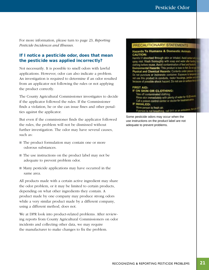<span id="page-22-0"></span>For more information, please turn to page 23, *Reporting Pesticide Incidences and Illnesses.* 

# If I notice a pesticide odor, does that mean the pesticide was applied incorrectly?

Not necessarily. It is possible to smell odors with lawful applications. However, odor can also indicate a problem. An investigation is required to determine if an odor resulted from an applicator not following the rules or not applying the product correctly.

The County Agricultural Commissioner investigates to decide if the applicator followed the rules. If the Commissioner fnds a violation, he or she can issue fnes and other penalties against the applicator.

But even if the commissioner fnds the applicator followed the rules, the problem will not be dismissed without further investigation. The odor may have several causes, such as:

- $\blacksquare$  The product formulation may contain one or more odorous substances.
- $\blacksquare$  The use instructions on the product label may not be adequate to prevent problem odor.
- $\blacksquare$  Many pesticide applications may have occurred in the same area.

All products made with a certain active ingredient may share the odor problem, or it may be limited to certain products, depending on what other ingredients they contain. A product made by one company may produce strong odors while a very similar product made by a different company, using a different method, does not.

We at DPR look into product-related problems. After reviewing reports from County Agricultural Commissioners on odor incidents and collecting other data, we may require the manufacturer to make changes to fx the problem.

#### PRECAUTIONARY STATEMENTS

#### Hazards To Humans & Domestic Animals **CAUTION:**

Harmful if absorbed through skin or inhaled. Avoid cortect at spray mist. Wash thoroughly with soap and water after his Environmental Hazards: This product is toxic to fah Dont. Physical and Chemical Hazards: Contents under pre Do not puncture or incinerate container. Exposure to it not use this product in conduits, motor housings, jurches a because of possible shock hazard. Do not use on sufam h

### **FIRST AID:**

#### IF ON SKIN OR CLOTHING: Take off contaminated clothing. Rinse skin immediately with plenty of water for 15-20 m Call a poison control center or doctor for treatment advit-**IF INHALED:** Move person to fresh air. If person is not breathing, call 911 or an ambulance.

Some pesticide odors may occur when the use instructions on the product label are not adequate to prevent problems.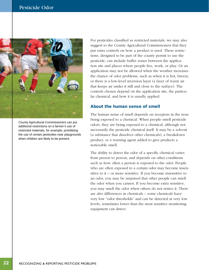<span id="page-23-0"></span>

County Agricultural Commissioners can put additional restrictions on a farmer's use of restricted materials, for example, prohibiting the use of certain pesticides near playgrounds when children are likely to be present.

For pesticides classifed as restricted materials, we may also suggest to the County Agricultural Commissioners that they put extra controls on how a product is used. These restrictions, designed to be part of the county permit to use the pesticide, can include buffer zones between the application site and places where people live, work, or play. Or an application may not be allowed when the weather increases the chance of odor problems, such as when it is hot, breezy, or there is a low-level inversion layer (a layer of warm air that keeps air under it still and close to the surface). The controls chosen depend on the application site, the particular chemical, and how it is usually applied.

### About the human sense of smell

The human sense of smell depends on receptors in the nose being exposed to a chemical. When people smell pesticide odors, they are being exposed to a chemical, although not necessarily the pesticide chemical itself. It may be a solvent (a substance that dissolves other chemicals), a breakdown product, or a warning agent added to give products a noticeable smell.

The ability to detect the odor of a specifc chemical varies from person to person, and depends on other conditions such as how often a person is exposed to the odor. People who are often exposed to a certain odor may become insensitive to it – or more sensitive. If you become insensitive to an odor, you may be surprised that other people can smell the odor when you cannot. If you become extra sensitive, you may smell the odor when others do not notice it. There are also differences in chemicals – some chemicals have very low "odor thresholds" and can be detected at very low levels, sometimes lower than the most sensitive monitoring equipment can detect.

22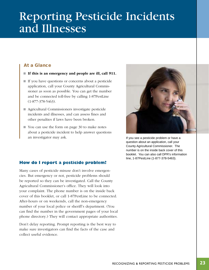# <span id="page-24-0"></span>Reporting Pesticide Incidents and Illnesses

# At a Glance

- $\blacksquare$  If this is an emergency and people are ill, call 911.
- $\blacksquare$  If you have questions or concerns about a pesticide application, call your County Agricultural Commissioner as soon as possible. You can get the number and be connected toll-free by calling 1-87PestLine (1-877-378-5463).
- Agricultural Commissioners investigate pesticide incidents and illnesses, and can assess fnes and other penalties if laws have been broken.
- You can use the form on page 30 to make notes about a pesticide incident to help answer questions an investigator may ask.  $\blacksquare$  If you see a pesticide problem or have a



question about an application, call your County Agricultural Commissioner. The number is on the inside back cover of this booklet. You can also call DPR's information line, 1-87PestLine (1-877-378-5463).

# **How do I report a pesticide problem?**

Many cases of pesticide misuse don't involve emergencies. But emergency or not, pesticide problems should be reported so they can be investigated. Call the County Agricultural Commissioner's office. They will look into your complaint. The phone number is on the inside back cover of this booklet, or call 1-87PestLine to be connected. After-hours or on weekends, call the non-emergency number of your local police or sheriff's department. (You can fnd the number in the government pages of your local phone directory.) They will contact appropriate authorities.

Don't delay reporting. Prompt reporting is the best way to make sure investigators can fnd the facts of the case and collect useful evidence.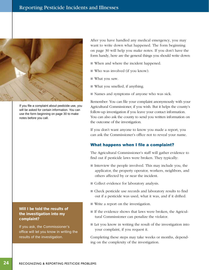<span id="page-25-0"></span>

If you file a complaint about pesticide use, you will be asked for certain information. You can use the form beginning on page 30 to make notes before you call.

# Will I be told the results of the investigation into my complaint?

*Sidebar:* 

If you ask, the Commissioner's office will let you know in writing the results of the investigation.

 on page 30 will help you make notes. If you don't have the After you have handled any medical emergency, you may want to write down what happened. The form beginning form handy, here are the general things you should write down:

- When and where the incident happened.
- $\blacksquare$  Who was involved (if you know).
- $\blacksquare$  What you saw.
- $\blacksquare$  What you smelled, if anything.
- Names and symptoms of anyone who was sick.

Remember: You can fle your complaint anonymously with your Agricultural Commissioner, if you wish. But it helps the county's follow-up investigation if you leave your contact information. You can also ask the county to send you written information on the outcome of the investigation.

If you don't want anyone to know you made a report, you can ask the Commissioner's office not to reveal your name.

# What happens when I file a complaint?

The Agricultural Commissioner's staff will gather evidence to fnd out if pesticide laws were broken. They typically:

- $\blacksquare$  Interview the people involved. This may include you, the applicator, the property operator, workers, neighbors, and others affected by or near the incident.
- Collect evidence for laboratory analysis.
- Check pesticide use records and laboratory results to find out if a pesticide was used, what it was, and if it drifted.
- $\blacksquare$  Write a report on the investigation.
- $\blacksquare$  If the evidence shows that laws were broken, the Agricultural Commissioner can penalize the violator.
- $\blacksquare$  Let you know in writing the result of the investigation into your complaint, if you request it.

Completing these steps may take weeks or months, depending on the complexity of the investigation.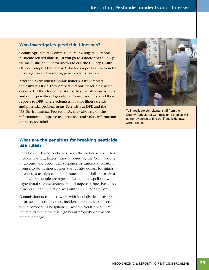## <span id="page-26-0"></span>Who investigates pesticide illnesses?

County Agricultural Commissioners investigate all reported pesticide-related illnesses. If you go to a doctor or the hospital, make sure the doctor knows to call the County Health Officer to report the illness. A doctor's report can help in the investigation and in setting penalties for violators.

After the Agricultural Commissioner's staff complete their investigation, they prepare a report describing what occurred. If they found violations, they can also assess fnes and other penalties. Agricultural Commissioners send their reports to DPR where scientists look for illness trends and potential problem areas. Scientists at DPR and the U.S. Environmental Protection Agency also rely on the information to improve use practices and safety information on pesticide labels.



To investigate complaints, staff from the County Agricultural Commissioner's office will gather evidence to find out if pesticide laws were broken.

# What are the penalties for breaking pesticide use rules?

Penalties are based on how serious the violation was. They include warning letters, fnes imposed by the Commissioner or a court, and action that suspends or cancels a violator's license to do business. Fines start at ffty dollars for minor offenses to as high as tens of thousands of dollars for violations where people are injured. Regulations spell out when Agricultural Commissioners should impose a fne, based on how serious the violation was and the violator's record.

Commissioners can also work with local district attorneys to prosecute serious cases. Incidents are considered serious when someone is hospitalized, when several people are injured, or when there is signifcant property or environmental damage.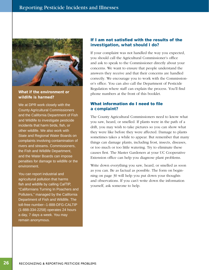<span id="page-27-0"></span>

# wildlife is harmed?

We at DPR work closely with the County Agricultural Commissioners and the California Department of Fish and Wildlife to investigate pesticide incidents that harm birds, fish, or other wildlife. We also work with State and Regional Water Boards on complaints involving contamination of rivers and streams. Commissioners, the Fish and Wildlife Department, and the Water Boards can impose penalties for damage to wildlife or the environment.

You can report industrial and agricultural pollution that harms fish and wildlife by calling CalTIP, "Californians Turning In Poachers and Polluters," managed by the California Department of Fish and Wildlife. The toll-free number--1-888-DFG-CALTIP (1-888-334-2258) operates 24 hours a day, 7 days a week. You may remain anonymous.

# If I am not satisfied with the results of the investigation, what should I do?

If your complaint was not handled the way you expected, you should call the Agricultural Commissioner's office and ask to speak to the Commissioner directly about your concerns. We want to ensure that people understand the answers they receive and that their concerns are handled correctly. We encourage you to work with the Commissioner's office. You can also call the Department of Pesticide Regulation where staff can explain the process. You'll fnd What if the environment or phone numbers at the front of this booklet.

# What information do I need to file a complaint?

The County Agricultural Commissioners need to know what you saw, heard, or smelled. If plants were in the path of a drift, you may wish to take pictures so you can show what they were like before they were affected. Damage to plants sometimes takes a while to appear. But remember that many things can damage plants, including frost, insects, diseases, or too much or too little watering. Try to eliminate these causes frst. The Master Gardeners at your UC Cooperative Extension office can help you diagnose plant problems.

Write down everything you saw, heard, or smelled as soon as you can. Be as factual as possible. The form on beginning on page 30 will help you put down your thoughts and observations. If you can't write down the information yourself, ask someone to help.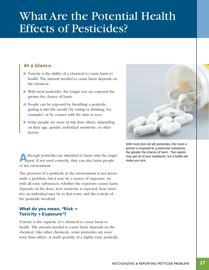# <span id="page-28-0"></span>What Are the Potential Health Effects of Pesticides?

# At a Glance

- $\blacksquare$  Toxicity is the ability of a chemical to cause harm to health. The amount needed to cause harm depends on the chemical.
- With most pesticides, the longer you are exposed the greater the chance of harm.
- $\blacksquare$  People can be exposed by breathing a pesticide, getting it into the mouth (by eating or drinking, for example), or by contact with the skin or eyes.
- $\blacksquare$  Some people are more at risk than others, depending on their age, gender, individual sensitivity, or other factors.

A lthough pesticides are intended to harm only the target may get rid of your headache, but a bottle will pest, if not used correctly, they can also harm people make you sick. lthough pesticides are intended to harm only the target or the environment.

The presence of a pesticide in the environment is not necessarily a problem, but it may be a source of exposure. As with all toxic substances, whether the exposure causes harm depends on the dose, how someone is exposed, how sensitive an individual may be to that toxin, and the toxicity of the pesticide involved.

# What do you mean, "Risk = Toxicity + Exposure"?

Toxicity is the capacity of a chemical to cause harm to health. The amount needed to cause harm depends on the chemical. Like other chemicals, some pesticides are more toxic than others. A small quantity of a highly toxic pesticide



With most (but not all) pesticides, the more a person is exposed to a particular substance, the greater the chance of harm. Two aspirin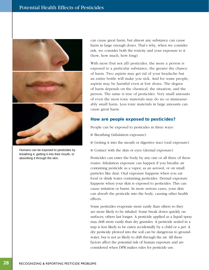<span id="page-29-0"></span>

Humans can be exposed to pesticides by breathing it, getting it into their mouth, or absorbing it through the skin.

can cause great harm, but almost any substance can cause harm in large enough doses. That's why, when we consider risk, we consider both the toxicity and your exposure to it (how, how much, how long).

With most (but not all) pesticides, the more a person is exposed to a particular substance, the greater the chance of harm. Two aspirin may get rid of your headache but an entire bottle will make you sick. And for some people, aspirin may be harmful even at low doses. The degree of harm depends on the chemical, the situation, and the person. The same is true of pesticides. Very small amounts of even the most toxic materials may do no or immeasurably small harm. Less toxic materials in large amounts can cause great harm.

## How are people exposed to pesticides?

People can be exposed to pesticides in three ways:

- Breathing (inhalation exposure).
- Getting it into the mouth or digestive tract (oral exposure).
- Contact with the skin or eyes (dermal exposure).

Pesticides can enter the body by any one or all three of these routes. Inhalation exposure can happen if you breathe air containing pesticide as a vapor, as an aerosol, or on small particles like dust. Oral exposure happens when you eat food or drink water containing pesticides. Dermal exposure happens when your skin is exposed to pesticides. This can cause irritation or burns. In more serious cases, your skin can absorb the pesticide into the body, causing other health effects.

Some pesticides evaporate more easily than others so they are more likely to be inhaled. Some break down quickly on surfaces; others last longer. A pesticide applied as a liquid spray may drift more easily than dry granules. A pesticide sealed in a trap is less likely to be eaten accidentally by a child or a pet. A dry pesticide plowed into the soil can be dangerous to groundwater, but is not as likely to drift through the air. All these factors affect the potential risk of human exposure and are considered when DPR makes rules for pesticide use.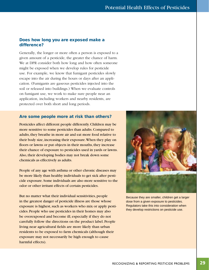## <span id="page-30-0"></span>Does how long you are exposed make a difference?

Generally, the longer or more often a person is exposed to a given amount of a pesticide, the greater the chance of harm. We at DPR consider both how long and how often someone might be exposed when we develop rules for pesticide use. For example, we know that fumigant pesticides slowly escape into the air during the hours or days after an application. (Fumigants are gaseous pesticides injected into the soil or released into buildings.) When we evaluate controls on fumigant use, we work to make sure people near an application, including workers and nearby residents, are protected over both short and long periods.

## Are some people more at risk than others?

Pesticides affect different people differently. Children may be more sensitive to some pesticides than adults. Compared to adults, they breathe in more air and eat more food relative to their body size, increasing their exposure.When they play on floors or lawns or put objects in their mouths, they increase their chance of exposure to pesticides used in yards or lawns. Also, their developing bodies may not break down some chemicals as effectively as adults.

People of any age with asthma or other chronic diseases may be more likely than healthy individuals to get sick after pesticide exposure. Some individuals are also more sensitive to the odor or other irritant effects of certain pesticides.

But no matter what their individual sensitivities, people in the greatest danger of pesticide illness are those whose exposure is highest, such as workers who mix or apply pesticides. People who use pesticides in their homes may also be overexposed and become ill, especially if they do not carefully follow the directions on the product label. People living near agricultural felds are more likely than urban residents to be exposed to farm chemicals (although their exposure may not necessarily be high enough to cause harmful effects).



Because they are smaller, children get a larger dose from a given exposure to pesticides. Regulators take this into consideration when they develop restrictions on pesticide use.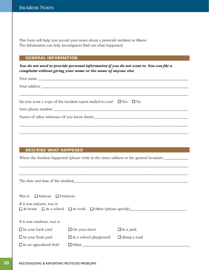This form will help you record your notes about a pesticide incident or illness. The information can help investigators fnd out what happened.

# GENERAL INFORMATION

*You do not need to provide personal information if you do not want to. You can fle a complaint without giving your name or the name of anyone else.* 

| Do you want a copy of the incident report mailed to you? $\square$ Yes $\square$ No |
|-------------------------------------------------------------------------------------|
|                                                                                     |
|                                                                                     |
|                                                                                     |
|                                                                                     |
|                                                                                     |

### DESCRIBE WHAT HAPPENED

Where the incident happened (please write in the street address or the general location) \_\_\_\_\_\_\_\_\_\_\_\_\_\_\_\_\_\_\_\_\_

\_\_\_\_\_\_\_\_\_\_\_\_\_\_\_\_\_\_\_\_\_\_\_\_\_\_\_\_\_\_\_\_\_\_\_\_\_\_\_\_\_\_\_\_\_\_\_\_\_\_\_\_\_\_\_\_\_\_\_\_\_\_\_\_\_\_\_\_\_\_\_\_\_\_\_\_\_\_\_\_\_\_\_\_\_\_\_\_\_\_

The date and time of the incident\_\_\_\_\_\_\_\_\_\_\_\_\_\_\_\_\_\_\_\_\_\_\_\_\_\_\_\_\_\_\_\_\_\_\_\_\_\_\_\_\_\_\_\_\_\_\_\_\_\_\_\_\_\_\_\_\_\_\_\_\_

Was it:  $\Box$  Indoors  $\Box$  Outdoors

|  | If it was indoors, was it: |  |  |  |
|--|----------------------------|--|--|--|
|  |                            |  |  |  |

At home At a school At work Other (please specify)\_\_\_\_\_\_\_\_\_\_\_\_\_\_\_\_\_\_\_\_\_\_\_\_\_\_\_\_\_\_

|  | If it was outdoors, was it: |  |  |
|--|-----------------------------|--|--|
|--|-----------------------------|--|--|

| $\Box$ In your back yard        | $\Box$ On your street         | $\Box$ In a park    |
|---------------------------------|-------------------------------|---------------------|
| $\Box$ In your front yard       | $\Box$ At a school playground | $\Box$ Along a road |
| $\Box$ In an agricultural field | $\Box$ Other                  |                     |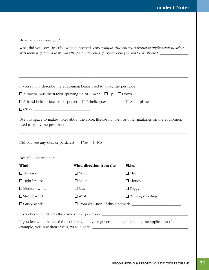|                                                                                                                                                                                                            | How far away were you?                                                       |                                                                                               |  |  |
|------------------------------------------------------------------------------------------------------------------------------------------------------------------------------------------------------------|------------------------------------------------------------------------------|-----------------------------------------------------------------------------------------------|--|--|
| What did you see? Describe what happened. For example, did you see a pesticide application nearby?<br>Was there a spill or a leak? Was the pesticide being sprayed? Being mixed? Transported? ____________ |                                                                              |                                                                                               |  |  |
|                                                                                                                                                                                                            |                                                                              |                                                                                               |  |  |
|                                                                                                                                                                                                            | If you saw it, describe the equipment being used to apply the pesticide      |                                                                                               |  |  |
|                                                                                                                                                                                                            | $\Box$ A tractor. Was the tractor spraying up or down? $\Box$ Up $\Box$ Down |                                                                                               |  |  |
| $\Box$ A hand-held or backpack sprayer $\Box$ A helicopter<br>$\Box$ An airplane                                                                                                                           |                                                                              |                                                                                               |  |  |
|                                                                                                                                                                                                            |                                                                              |                                                                                               |  |  |
|                                                                                                                                                                                                            | Did you see any dust or particles? $\Box$ Yes $\Box$ No                      |                                                                                               |  |  |
| Describe the weather:                                                                                                                                                                                      |                                                                              |                                                                                               |  |  |
| Wind<br>$\Box$ No wind                                                                                                                                                                                     | Wind direction from the:<br>$\Box$ North                                     | <b>Skies</b><br>$\Box$ Clear                                                                  |  |  |
| $\Box$ Light breeze                                                                                                                                                                                        | $\Box$ South                                                                 | $\Box$ Cloudy                                                                                 |  |  |
| $\Box$ Medium wind                                                                                                                                                                                         | $\square$ East                                                               | $\Box$ Foggy                                                                                  |  |  |
| $\Box$ Strong wind                                                                                                                                                                                         | $\square$ West                                                               | $\Box$ Raining/drizzling                                                                      |  |  |
| $\Box$ Gusty winds                                                                                                                                                                                         |                                                                              |                                                                                               |  |  |
|                                                                                                                                                                                                            |                                                                              |                                                                                               |  |  |
|                                                                                                                                                                                                            |                                                                              |                                                                                               |  |  |
|                                                                                                                                                                                                            |                                                                              | If you know the name of the company, utility, or government agency doing the application (for |  |  |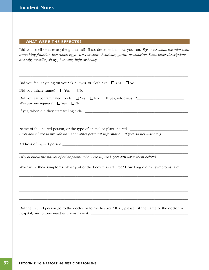# WHAT WERE THE EFFECTS?

Did you smell or taste anything unusual? If so, describe it as best you can. *Try to associate the odor with something familiar, like rotten eggs, sweet or sour chemicals, garlic, or chlorine. Some other descriptions are oily, metallic, sharp, burning, light or heavy.* 

\_\_\_\_\_\_\_\_\_\_\_\_\_\_\_\_\_\_\_\_\_\_\_\_\_\_\_\_\_\_\_\_\_\_\_\_\_\_\_\_\_\_\_\_\_\_\_\_\_\_\_\_\_\_\_\_\_\_\_\_\_\_\_\_\_\_\_\_\_\_\_\_\_\_\_\_\_\_\_\_\_\_\_\_\_\_\_\_\_\_

| Did you feel anything on your skin, eyes, or clothing? $\square$ Yes<br>$\Box$ No                                                                              |  |  |
|----------------------------------------------------------------------------------------------------------------------------------------------------------------|--|--|
| Did you inhale fumes? $\Box$ Yes<br>$\square$ No                                                                                                               |  |  |
| Was anyone injured? $\Box$ Yes $\Box$ No                                                                                                                       |  |  |
|                                                                                                                                                                |  |  |
| Name of the injured person, or the type of animal or plant injured.<br>(You don't have to provide names or other personal information, if you do not want to.) |  |  |
|                                                                                                                                                                |  |  |
| (If you know the names of other people who were injured, you can write them below)                                                                             |  |  |
| What were their symptoms? What part of the body was affected? How long did the symptoms last?                                                                  |  |  |
|                                                                                                                                                                |  |  |
|                                                                                                                                                                |  |  |
|                                                                                                                                                                |  |  |
| Did the injured person go to the doctor or to the hospital? If so, please list the name of the doctor or                                                       |  |  |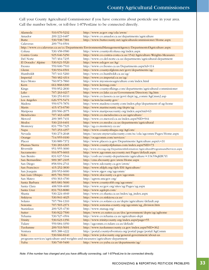Call your County Agricultural Commissioner if you have concerns about pesticide use in your area. Call the number below, or toll-free 1-87PestLine to be connected directly.

| Alameda                                                                       | 510/670-5232 | http://www.acgov.org/cda/awm/                                                                           |  |  |
|-------------------------------------------------------------------------------|--------------|---------------------------------------------------------------------------------------------------------|--|--|
| Amador                                                                        | 209/223-6487 | http://www.co.amador.ca.us/departments/agriculture                                                      |  |  |
| <b>Butte</b>                                                                  | 530/538-7381 |                                                                                                         |  |  |
|                                                                               |              | http://www.buttecounty.net/agriculturalcommissioner/Home.aspx                                           |  |  |
| Calaveras                                                                     | 209/754-6504 |                                                                                                         |  |  |
|                                                                               |              | http://www.co.calaveras.ca.us/cc/Departments/EnvironmentalManagementAgency/DepartmentofAgriculture.aspx |  |  |
| Colusa                                                                        | 530/458-0580 | http://www.countyofcolusa.org/index.aspx                                                                |  |  |
| Contra Costa                                                                  | 925/646-5250 | http://www.co.contra-costa.ca.us/1542/Agriculture-Weights-Measures                                      |  |  |
| Del Norte                                                                     | 707/464-7235 | http://www.co.del-norte.ca.us/departments/agricultural-department                                       |  |  |
| El Dorado/ Alpine                                                             | 530/621-5520 | http://www.edcgov.us/Ag/                                                                                |  |  |
| Fresno                                                                        | 559/600-7510 | http://www.co.fresno.ca.us/Departments.aspx?id=114                                                      |  |  |
| Glenn                                                                         | 530/934-6501 | http://www.countyofglenn.net/govt/departments/ag/                                                       |  |  |
| Humboldt                                                                      | 707/441-5260 | http://www.co.humboldt.ca.us/ag/                                                                        |  |  |
| Imperial                                                                      | 760/482-4314 | http://www.co.imperial.ca.us/ag/                                                                        |  |  |
| Inyo/Mono                                                                     | 760/873-7860 | http://www.inyomonoagriculture.com/index.html                                                           |  |  |
| Kern                                                                          | 661/868-6300 | http://www.kernag.com/                                                                                  |  |  |
| Kings                                                                         | 559/852-2830 | http://www.countyofkings.com/departments/agricultural-commissioner                                      |  |  |
| Lake                                                                          | 707/263-0217 | http://www.co.lake.ca.us/Government/Directory/Ag.htm                                                    |  |  |
| Lassen                                                                        | 530/251-8110 | http://www.co.lassen.ca.us/govt/dept/ag_comm/AgCmsn2.asp                                                |  |  |
| Los Angeles                                                                   | 626/575-5471 | http://acwm.lacounty.gov/                                                                               |  |  |
| Madera                                                                        | 559/675-7876 | http://www.madera-county.com/index.php/department-of-ag-home                                            |  |  |
| Marin                                                                         | 415/473-6700 | http://www.marincounty.org/depts/ag                                                                     |  |  |
| Mariposa                                                                      | 209/966-2075 | http://www.mariposacounty.org/index.aspx?nid=63                                                         |  |  |
| Mendocino                                                                     | 707/463-4208 | http://www.co.mendocino.ca.us/agriculture/                                                              |  |  |
| Merced                                                                        | 209/385-7431 | http://www.co.merced.ca.us/index.aspx?NID=944                                                           |  |  |
| Modoc                                                                         | 530/233-6401 | http://www.co.modoc.ca.us/departments/agricultural                                                      |  |  |
| Monterey                                                                      | 831/759-7325 | http://ag.co.monterey.ca.us/                                                                            |  |  |
| Napa                                                                          | 707/253-4357 | http://www.countyofnapa.org/AgCom/                                                                      |  |  |
| Nevada                                                                        | 530/273-2648 | https://secure.mynevadacounty.com/nc/cda/agcomm/Pages/Home.aspx                                         |  |  |
| Orange                                                                        | 714/955-0100 | http://ocagcomm.com/services/                                                                           |  |  |
| Placer                                                                        | 530/889-7372 | http://www.placer.ca.gov/Departments/Agriculture.aspx?c=31                                              |  |  |
| Plumas/Sierra                                                                 | 530/283-6365 | http://www.countyofplumas.com/index.aspx?NID=73                                                         |  |  |
| Riverside                                                                     | 951/955-3000 | http://www.rivcoag.org/DepartmentInformation/AgriculturalProgramsandServices.aspx                       |  |  |
| Sacramento                                                                    | 916/875-6603 | http://www.agcomm.saccounty.net/Pages/default.aspx                                                      |  |  |
| San Benito                                                                    | 831/637-5344 | http://cosb.us/county-departments/agriculture/#.U0cY8qKBUYI                                             |  |  |
| San Bernardino                                                                | 909/387-2105 | http://cms.sbcounty.gov/awm/Home.aspx                                                                   |  |  |
| San Diego                                                                     | 858/694-2741 | http://www.sdcounty.ca.gov/awm/                                                                         |  |  |
| San Francisco                                                                 | 415/252-3830 | http://www.sfdph.org/dph/EH/Agriculture/                                                                |  |  |
| San Joaquin                                                                   | 209/953-6000 | http://www.sjgov.org/agcomm/                                                                            |  |  |
|                                                                               | 805/781-5910 | http://www.slocounty.ca.gov/agcomm                                                                      |  |  |
| San Luis Obispo<br>San Mateo                                                  | 650/363-4700 |                                                                                                         |  |  |
|                                                                               |              | http://agwm.smcgov.org/                                                                                 |  |  |
| Santa Barbara                                                                 | 805/681-5600 | http://www.countyofsb.org/agcomm/                                                                       |  |  |
| Santa Clara                                                                   | 408/918-4600 | http://www.sccgov.org/sites/ag/Pages/ag.aspx                                                            |  |  |
| Santa Cruz                                                                    | 831/763-8080 | http://www.agdept.com/                                                                                  |  |  |
| Shasta                                                                        | 530/224-4949 | http://www.co.shasta.ca.us/index/ag_index.aspx                                                          |  |  |
| Siskiyou                                                                      | 530/841-4025 | http://www.co.siskiyou.ca.us/                                                                           |  |  |
| Solano                                                                        | 707/784-1310 | http://www.co.solano.ca.us/depts/agriculture/default.asp                                                |  |  |
| Sonoma                                                                        | 707/565-2371 | http://www.sonoma-county.org/agcomm/ag_division.htm                                                     |  |  |
| Stanislaus                                                                    | 209/525-4730 | http://www.stanag.org/                                                                                  |  |  |
| Sutter                                                                        | 530/822-7500 | https://www.co.sutter.ca.us/doc/government/depts/ag/aghome                                              |  |  |
| Tehama                                                                        | 530/527-4504 | http://www.co.tehama.ca.us/agriculture-dept                                                             |  |  |
| Trinity                                                                       | 530/623-1356 | http://www.trinitycounty.org/index.aspx?page=55                                                         |  |  |
| Tulare                                                                        | 559/684-3350 | http://agcomm.co.tulare.ca.us/default/                                                                  |  |  |
| Tuolumne                                                                      | 209/533-5691 | http://www.tuolumnecounty.ca.gov/index.aspx?NID=362                                                     |  |  |
| Ventura                                                                       | 805/388-4222 | http://portal.countyofventura.org/portal/page/portal/AgComm                                             |  |  |
| Yolo                                                                          | 530/666-8140 | http://www.yolocounty.org/general-government/about-us                                                   |  |  |
| programs-services/agriculture-and-weights-and-measures/agriculture-department |              |                                                                                                         |  |  |
| Yuba                                                                          | 530/749-5400 | http://www.co.yuba.ca.us/departments/ag/                                                                |  |  |

*Note: If the number has changed and you have difficulty connecting, call 1-87PestLine to be connected directly.*